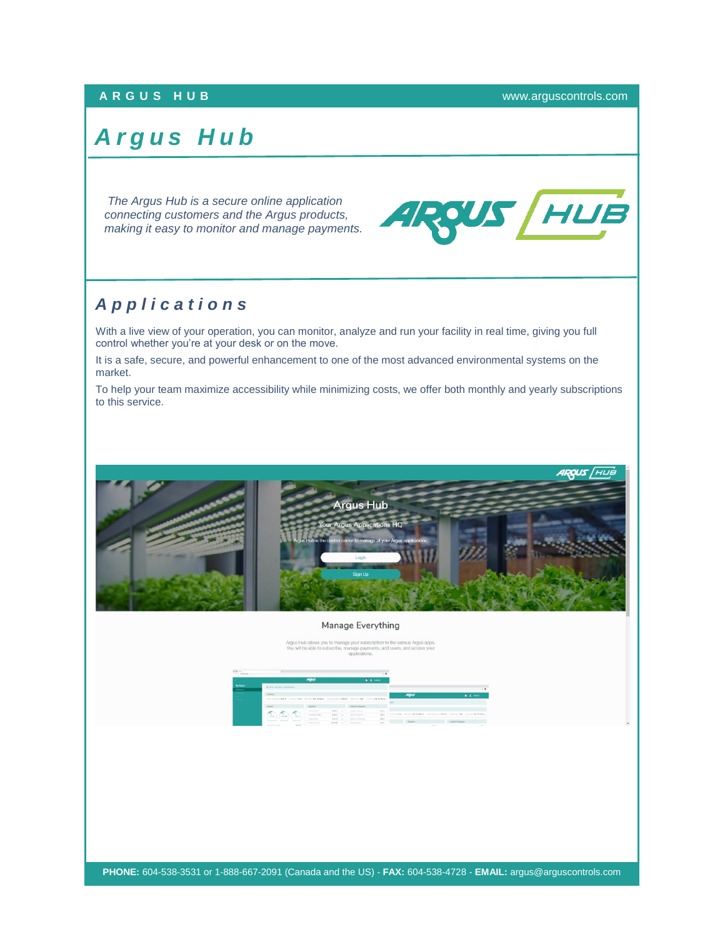## **A R G U S H U B** [www.arguscontrols.com](file:///C:/Users/afermon/AppData/Local/Microsoft/Windows/INetCache/Content.Outlook/M660HEMV/www.arguscontrols.com)

## *A r g u s H u b*

*The Argus Hub is a secure online application connecting customers and the Argus products, making it easy to monitor and manage payments.*



## *A p p l i c a t i o n s*

With a live view of your operation, you can monitor, analyze and run your facility in real time, giving you full control whether you're at your desk or on the move.

It is a safe, secure, and powerful enhancement to one of the most advanced environmental systems on the market.

To help your team maximize accessibility while minimizing costs, we offer both monthly and yearly subscriptions to this service.



## Manage Everything

Argus Hub allows you to manage your subscription to the various Argus apps.<br>You will be able to subscribe, manage payments, add users, and access your

| With Long<br>V V F Vancon        | a base of the contract of the con-                                                                                               |                                             |                                                     |                                                     | . .                          |                  |                                                                                       |                                                            |                       |
|----------------------------------|----------------------------------------------------------------------------------------------------------------------------------|---------------------------------------------|-----------------------------------------------------|-----------------------------------------------------|------------------------------|------------------|---------------------------------------------------------------------------------------|------------------------------------------------------------|-----------------------|
|                                  |                                                                                                                                  | <b>ARTAS</b>                                |                                                     |                                                     | $\mathbf{F}$ & Here.         |                  |                                                                                       |                                                            |                       |
| <b>We Saw a</b><br>$\frac{1}{2}$ | . B. Victoria Ma Hanna I Greenway and V.                                                                                         |                                             |                                                     |                                                     |                              |                  |                                                                                       |                                                            | $\sim$                |
|                                  | <b>Walnut of</b><br>State Seasons B.O.Y. Hocking Real Courting Of Achieve Constitutions British Courtings For Courting Court and |                                             |                                                     |                                                     |                              | ARRAIT           |                                                                                       |                                                            | $\triangleq$ 2. Here: |
|                                  | <b>Service</b>                                                                                                                   | <b>Actual</b>                               |                                                     | <b>NATOR</b> REGIST                                 |                              |                  |                                                                                       |                                                            |                       |
|                                  | $\sigma$<br>$\sum_{n\in\mathbb{N}}$<br><b>CONTRACTOR</b>                                                                         | <b>Service State</b><br>To concern them.    | 15.67% /<br>stare. V.                               | <b>Service States</b><br>The Content Method Profile | Links.<br>parts.             |                  | telectrical first team and between the control of the control was found and the first |                                                            |                       |
|                                  | <b>Service Advised Association</b><br>Change of Con-<br><b>STATISTICS</b><br>mark.<br><b>Street Greenery</b>                     | <b>Contract Contract</b><br>constructs from | MAIN VILLE<br><b>PETER of Constructions</b><br>- 11 | changes in terms from it.                           | <b>ABOV</b><br>$\sim$<br>105 | <b>Selection</b> | <b>ALCOHOL:</b>                                                                       | <b>TERRITOR TREASURY</b><br><b>Scott Commerce Services</b> | ---                   |